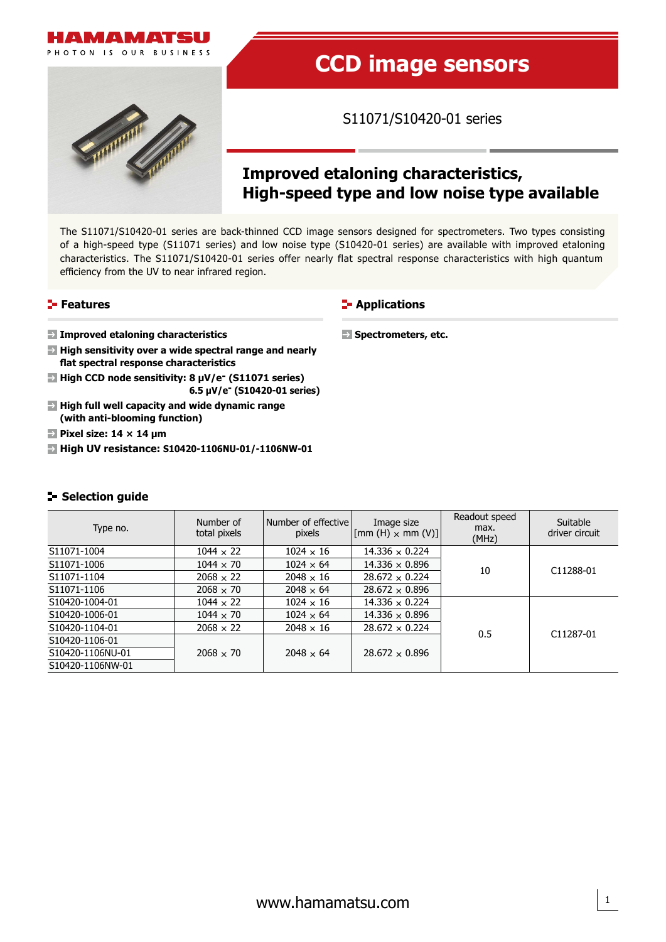

PHOTON IS OUR BUSINESS



# **CCD image sensors**

S11071/S10420-01 series

# **Improved etaloning characteristics, High-speed type and low noise type available**

The S11071/S10420-01 series are back-thinned CCD image sensors designed for spectrometers. Two types consisting of a high-speed type (S11071 series) and low noise type (S10420-01 series) are available with improved etaloning characteristics. The S11071/S10420-01 series offer nearly flat spectral response characteristics with high quantum efficiency from the UV to near infrared region.

# **Features**

### **E-** Applications

**Spectrometers, etc.** 

**Improved etaloning characteristics**

- **High sensitivity over a wide spectral range and nearly flat spectral response characteristics**
- **High CCD node sensitivity: 8 μV/e (S11071 series) 6.5 μV/e- (S10420-01 series)**
- **High full well capacity and wide dynamic range (with anti-blooming function)**
- **Pixel size: 14 × 14 μm**
- **High UV resistance: S10420-1106NU-01/-1106NW-01**

# **Selection guide**

| Type no.         | Number of<br>total pixels | Number of effective<br>pixels | Image size<br>$\left \left[\text{mm (H)} \times \text{mm (V)}\right]\right $ | Readout speed<br>max.<br>(MHz) | Suitable<br>driver circuit |
|------------------|---------------------------|-------------------------------|------------------------------------------------------------------------------|--------------------------------|----------------------------|
| S11071-1004      | $1044 \times 22$          | $1024 \times 16$              | $14.336 \times 0.224$                                                        |                                |                            |
| S11071-1006      | $1044 \times 70$          | $1024 \times 64$              | $14.336 \times 0.896$                                                        | 10                             | C11288-01                  |
| S11071-1104      | $2068 \times 22$          | $2048 \times 16$              | $28.672 \times 0.224$                                                        |                                |                            |
| S11071-1106      | $2068 \times 70$          | $2048 \times 64$              | $28.672 \times 0.896$                                                        |                                |                            |
| S10420-1004-01   | $1044 \times 22$          | $1024 \times 16$              | $14.336 \times 0.224$                                                        |                                |                            |
| S10420-1006-01   | $1044 \times 70$          | $1024 \times 64$              | $14.336 \times 0.896$                                                        |                                |                            |
| S10420-1104-01   | $2068 \times 22$          | $2048 \times 16$              | $28.672 \times 0.224$                                                        | 0.5                            | C <sub>11287</sub> -01     |
| S10420-1106-01   |                           |                               |                                                                              |                                |                            |
| S10420-1106NU-01 | $2068 \times 70$          | $2048 \times 64$              | $28.672 \times 0.896$                                                        |                                |                            |
| S10420-1106NW-01 |                           |                               |                                                                              |                                |                            |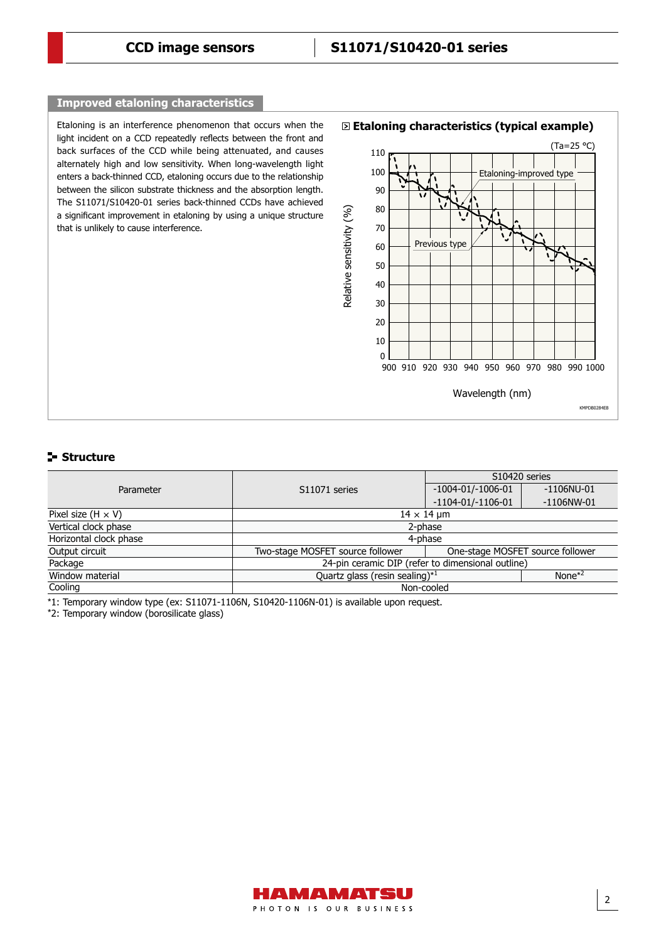# **Improved etaloning characteristics**

Etaloning is an interference phenomenon that occurs when the light incident on a CCD repeatedly reflects between the front and back surfaces of the CCD while being attenuated, and causes alternately high and low sensitivity. When long-wavelength light enters a back-thinned CCD, etaloning occurs due to the relationship between the silicon substrate thickness and the absorption length. The S11071/S10420-01 series back-thinned CCDs have achieved a significant improvement in etaloning by using a unique structure that is unlikely to cause interference.



## **Structure**

|                           |                                                          | S10420 series                    |               |  |  |  |
|---------------------------|----------------------------------------------------------|----------------------------------|---------------|--|--|--|
| Parameter                 | S11071 series                                            | $-1004 - 01/-1006 - 01$          | $-1106$ NU-01 |  |  |  |
|                           |                                                          | $-1104 - 01/ - 1106 - 01$        | $-1106$ NW-01 |  |  |  |
| Pixel size $(H \times V)$ | $14 \times 14$ µm                                        |                                  |               |  |  |  |
| Vertical clock phase      | 2-phase                                                  |                                  |               |  |  |  |
| Horizontal clock phase    |                                                          | 4-phase                          |               |  |  |  |
| Output circuit            | Two-stage MOSFET source follower                         | One-stage MOSFET source follower |               |  |  |  |
| Package                   | 24-pin ceramic DIP (refer to dimensional outline)        |                                  |               |  |  |  |
| Window material           | Quartz glass (resin sealing) <sup>*1</sup><br>None $*^2$ |                                  |               |  |  |  |
| Cooling                   | Non-cooled                                               |                                  |               |  |  |  |

\*1: Temporary window type (ex: S11071-1106N, S10420-1106N-01) is available upon request.

\*2: Temporary window (borosilicate glass)

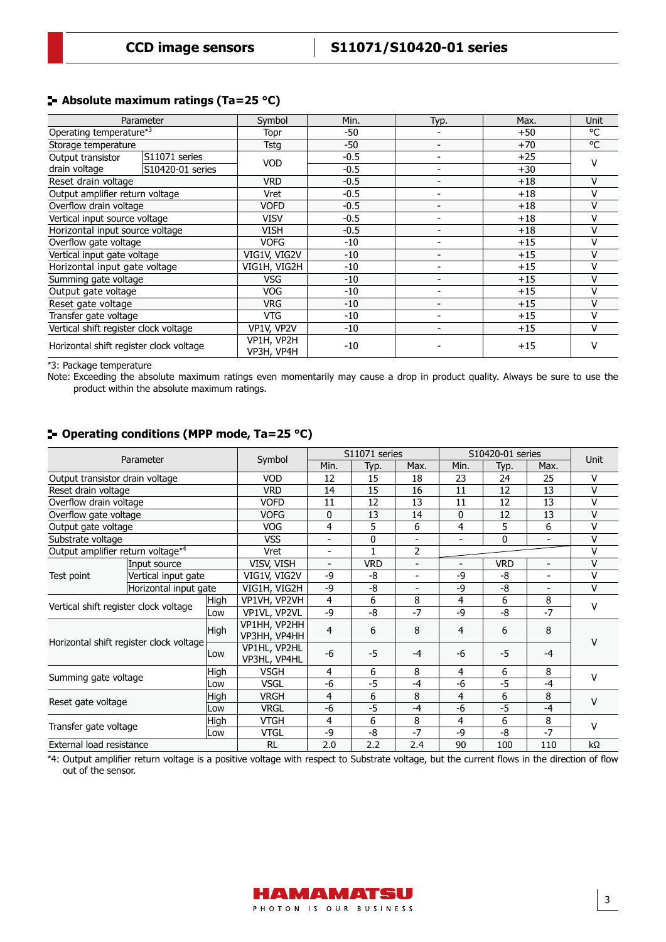# **Absolute maximum ratings (Ta=25 °C)**

| Parameter                               |                  | Symbol                   | Min.   | Typ.                     | Max.  | Unit   |
|-----------------------------------------|------------------|--------------------------|--------|--------------------------|-------|--------|
| Operating temperature*3                 |                  | Topr                     | $-50$  |                          | $+50$ | °C     |
| Storage temperature                     |                  | Tstg                     | $-50$  |                          | $+70$ | °C     |
| Output transistor                       | S11071 series    | <b>VOD</b>               | $-0.5$ |                          | $+25$ | v      |
| drain voltage                           | S10420-01 series |                          | $-0.5$ |                          | $+30$ |        |
| Reset drain voltage                     |                  | <b>VRD</b>               | $-0.5$ |                          | $+18$ | v      |
| Output amplifier return voltage         |                  | Vret                     | $-0.5$ |                          | $+18$ | v      |
| Overflow drain voltage                  |                  | <b>VOFD</b>              | $-0.5$ |                          | $+18$ | v      |
| Vertical input source voltage           |                  | <b>VISV</b>              | $-0.5$ | $\overline{\phantom{0}}$ | $+18$ | v      |
| Horizontal input source voltage         |                  | VISH                     | $-0.5$ | $\qquad \qquad$          | $+18$ | v      |
| Overflow gate voltage                   |                  | <b>VOFG</b>              | $-10$  |                          | $+15$ | v      |
| Vertical input gate voltage             |                  | VIG1V, VIG2V             | -10    |                          | $+15$ | $\vee$ |
| Horizontal input gate voltage           |                  | VIG1H, VIG2H             | $-10$  |                          | $+15$ | v      |
| Summing gate voltage                    |                  | <b>VSG</b>               | -10    |                          | $+15$ | v      |
| Output gate voltage                     |                  | <b>VOG</b>               | $-10$  |                          | $+15$ | v      |
| Reset gate voltage                      |                  | <b>VRG</b>               | $-10$  | $\overline{\phantom{0}}$ | $+15$ | v      |
| Transfer gate voltage                   |                  | VTG                      | $-10$  | -                        | $+15$ | v      |
| Vertical shift register clock voltage   |                  | VP1V, VP2V               | $-10$  |                          | $+15$ | v      |
| Horizontal shift register clock voltage |                  | VP1H, VP2H<br>VP3H, VP4H | $-10$  |                          | $+15$ | v      |

\*3: Package temperature

Note: Exceeding the absolute maximum ratings even momentarily may cause a drop in product quality. Always be sure to use the product within the absolute maximum ratings.

# **Operating conditions (MPP mode, Ta=25 °C)**

| Parameter                                     |                       |             |                              | S11071 series            |              | S10420-01 series         |      |            | <b>Unit</b>              |              |
|-----------------------------------------------|-----------------------|-------------|------------------------------|--------------------------|--------------|--------------------------|------|------------|--------------------------|--------------|
|                                               |                       | Symbol      | Min.                         | Typ.                     | Max.         | Min.                     | Typ. | Max.       |                          |              |
| Output transistor drain voltage               |                       |             | <b>VOD</b>                   | 12                       | 15           | 18                       | 23   | 24         | 25                       | $\mathsf{V}$ |
| Reset drain voltage                           |                       |             | <b>VRD</b>                   | 14                       | 15           | 16                       | 11   | 12         | 13                       | $\vee$       |
| Overflow drain voltage                        |                       |             | <b>VOFD</b>                  | 11                       | 12           | 13                       | 11   | 12         | 13                       | $\vee$       |
| Overflow gate voltage                         |                       |             | <b>VOFG</b>                  | 0                        | 13           | 14                       | 0    | 12         | 13                       | $\vee$       |
| Output gate voltage                           |                       |             | <b>VOG</b>                   | 4                        | 5            | 6                        | 4    | 5          | 6                        | v            |
| Substrate voltage                             |                       |             | <b>VSS</b>                   | $\overline{\phantom{0}}$ | 0            | $\blacksquare$           |      | 0          | $\overline{\phantom{a}}$ | V            |
| Output amplifier return voltage <sup>*4</sup> |                       |             | Vret                         | $\overline{\phantom{0}}$ | $\mathbf{1}$ | 2                        |      |            |                          | $\vee$       |
|                                               | Input source          |             | VISV, VISH                   | $\blacksquare$           | <b>VRD</b>   | $\overline{\phantom{a}}$ |      | <b>VRD</b> | $\overline{\phantom{a}}$ | V            |
| Test point                                    | Vertical input gate   |             |                              | $-9$                     | -8           | $\overline{\phantom{a}}$ | -9   | -8         | $\overline{\phantom{0}}$ | $\vee$       |
|                                               | Horizontal input gate |             | VIG1H, VIG2H                 | $-9$                     | $-8$         |                          | $-9$ | -8         | $\overline{\phantom{a}}$ | V            |
| Vertical shift register clock voltage         |                       | High        | VP1VH, VP2VH                 | 4                        | 6            | 8                        | 4    | 6          | 8                        | $\vee$       |
|                                               |                       | Low         | VP1VL, VP2VL                 | -9                       | -8           | $-7$                     | -9   | -8         | $-7$                     |              |
| Horizontal shift register clock voltage       |                       | High        | VP1HH, VP2HH<br>VP3HH, VP4HH | 4                        | 6            | 8                        | 4    | 6          | 8                        | v            |
|                                               |                       | Low         | VP1HL, VP2HL<br>VP3HL, VP4HL | $-6$                     | $-5$         | $-4$                     | -6   | $-5$       | $-4$                     |              |
|                                               |                       | High        | <b>VSGH</b>                  | 4                        | 6            | 8                        | 4    | 6          | 8                        | $\mathsf{V}$ |
| Summing gate voltage                          |                       | Low         | <b>VSGL</b>                  | -6                       | -5           | $-4$                     | -6   | $-5$       | $-4$                     |              |
| <b>High</b><br>Reset gate voltage<br>Low      |                       |             | <b>VRGH</b>                  | 4                        | 6            | 8                        | 4    | 6          | 8                        | $\vee$       |
|                                               |                       |             | <b>VRGL</b>                  | -6                       | -5           | $-4$                     | -6   | $-5$       | $-4$                     |              |
| Transfer gate voltage                         |                       | <b>High</b> | <b>VTGH</b>                  | 4                        | 6            | 8                        | 4    | 6          | 8                        | $\mathsf{V}$ |
|                                               |                       | Low         | <b>VTGL</b>                  | -9                       | -8           | $-7$                     | -9   | -8         | $-7$                     |              |
| External load resistance                      |                       |             | <b>RL</b>                    | 2.0                      | 2.2          | 2.4                      | 90   | 100        | 110                      | $k\Omega$    |

\*4: Output amplifier return voltage is a positive voltage with respect to Substrate voltage, but the current flows in the direction of flow out of the sensor.

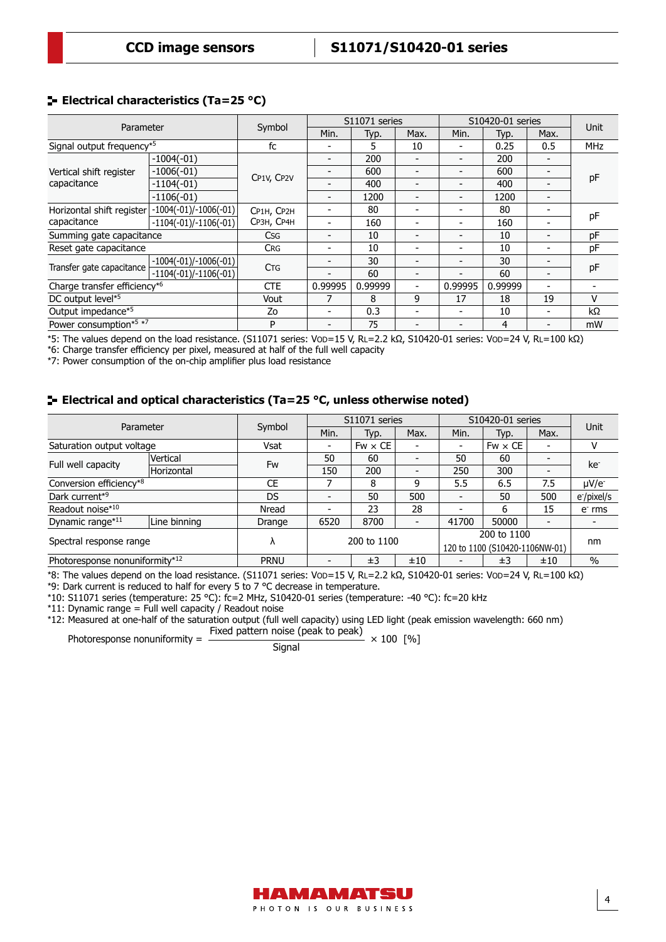# **Electrical characteristics (Ta=25 °C)**

| Parameter                             |                         |            | S11071 series            |         |                          | S10420-01 series         |         |                          |             |
|---------------------------------------|-------------------------|------------|--------------------------|---------|--------------------------|--------------------------|---------|--------------------------|-------------|
|                                       |                         | Symbol     | Min.                     | Typ.    | Max.                     | Min.                     | Typ.    | Max.                     | <b>Unit</b> |
| Signal output frequency <sup>*5</sup> |                         | fc         |                          | 5       | 10                       |                          | 0.25    | 0.5                      | <b>MHz</b>  |
|                                       | $-1004(-01)$            |            |                          | 200     |                          |                          | 200     |                          |             |
| Vertical shift register               | $-1006(-01)$            |            |                          | 600     | $\overline{\phantom{0}}$ |                          | 600     | $\overline{\phantom{0}}$ |             |
| capacitance                           | $-1104(-01)$            | CP1V, CP2V |                          | 400     |                          |                          | 400     |                          | pF          |
|                                       | $-1106(-01)$            |            |                          | 1200    |                          |                          | 1200    | $\overline{\phantom{0}}$ |             |
| Horizontal shift register             | $-1004(-01)/-1006(-01)$ | CP1H, CP2H |                          | 80      | $\blacksquare$           |                          | 80      |                          |             |
| capacitance                           | $-1104(-01)/-1106(-01)$ | СРЗН, СР4Н |                          | 160     | $\overline{\phantom{a}}$ |                          | 160     |                          | pF          |
| Summing gate capacitance              |                         | <b>Csg</b> |                          | 10      |                          |                          | 10      |                          | pF          |
| Reset gate capacitance                |                         | <b>CRG</b> | $\overline{\phantom{0}}$ | 10      | $\blacksquare$           |                          | 10      |                          | pF          |
|                                       | $-1004(-01)/-1006(-01)$ |            |                          | 30      | $\blacksquare$           | $\overline{\phantom{0}}$ | 30      | $\overline{\phantom{0}}$ |             |
| Transfer gate capacitance             | $-1104(-01)/-1106(-01)$ | <b>CTG</b> |                          | 60      |                          |                          | 60      | $\overline{\phantom{0}}$ | pF          |
| Charge transfer efficiency*6          |                         | <b>CTE</b> | 0.99995                  | 0.99999 | $\blacksquare$           | 0.99995                  | 0.99999 |                          |             |
| DC output level*5                     |                         | Vout       |                          | 8       | 9                        | 17                       | 18      | 19                       | v           |
| Output impedance*5                    |                         | Zo         |                          | 0.3     | $\blacksquare$           |                          | 10      | $\overline{\phantom{0}}$ | kΩ          |
| Power consumption*5 *7                |                         | P          | $\overline{\phantom{0}}$ | 75      | $\overline{\phantom{0}}$ |                          | 4       | $\overline{\phantom{0}}$ | mW          |

\*5: The values depend on the load resistance. (S11071 series: VOD=15 V, RL=2.2 kΩ, S10420-01 series: VOD=24 V, RL=100 kΩ)

\*6: Charge transfer efficiency per pixel, measured at half of the full well capacity

\*7: Power consumption of the on-chip amplifier plus load resistance

# **Electrical and optical characteristics (Ta=25 °C, unless otherwise noted)**

| Parameter                      |              | Symbol      | S11071 series |                |                | S10420-01 series               |                |                          | Unit            |  |
|--------------------------------|--------------|-------------|---------------|----------------|----------------|--------------------------------|----------------|--------------------------|-----------------|--|
|                                |              |             | Min.          | Typ.           | Max.           | Min.                           | Typ.           | Max.                     |                 |  |
| Saturation output voltage      |              | Vsat        |               | $Fw \times CE$ | -              | $\overline{\phantom{a}}$       | $Fw \times CE$ |                          |                 |  |
| Full well capacity             | Vertical     | Fw          | 50            | 60             | $\blacksquare$ | 50                             | 60             |                          | ke <sup>-</sup> |  |
|                                | Horizontal   |             | 150           | 200            | $\blacksquare$ | 250                            | 300            |                          |                 |  |
| Conversion efficiency*8        |              | <b>CE</b>   |               | 8              | 9              | 5.5                            | 6.5            | 7.5                      | $\mu$ V/e       |  |
| Dark current*9                 |              | DS          |               | 50             | 500            |                                | 50             | 500                      | e-/pixel/s      |  |
| Readout noise*10               |              | Nread       |               | 23             | 28             |                                | 6              | 15                       | $e-$ rms        |  |
| Dynamic range*11               | Line binning | Drange      | 6520          | 8700           | $\blacksquare$ | 41700                          | 50000          | $\overline{\phantom{0}}$ |                 |  |
| Spectral response range        |              |             |               |                | 200 to 1100    |                                |                |                          |                 |  |
|                                |              | Λ           |               | 200 to 1100    |                | 120 to 1100 (S10420-1106NW-01) |                |                          | nm              |  |
| Photoresponse nonuniformity*12 |              | <b>PRNU</b> |               | ±3             | ±10            |                                | $\pm 3$        | ±10                      | $\%$            |  |

\*8: The values depend on the load resistance. (S11071 series: VOD=15 V, RL=2.2 kΩ, S10420-01 series: VOD=24 V, RL=100 kΩ) \*9: Dark current is reduced to half for every 5 to 7 °C decrease in temperature.

\*10: S11071 series (temperature: 25 °C): fc=2 MHz, S10420-01 series (temperature: -40 °C): fc=20 kHz

\*11: Dynamic range = Full well capacity / Readout noise

\*12: Measured at one-half of the saturation output (full well capacity) using LED light (peak emission wavelength: 660 nm) Photoresponse nonuniformity =  $\frac{\text{Fixed pattern noise (peak to peak)}}{\text{Signal}} \times 100 \text{ [%]}$ 



4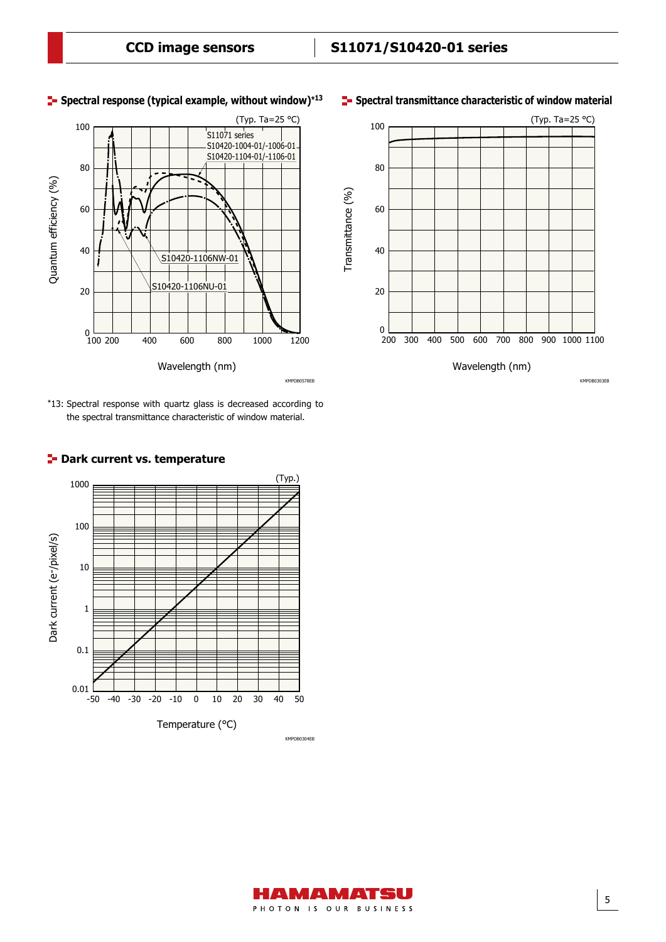

# **Spectral response (typical example, without window)\*<sup>13</sup>**





# (Typ. Ta=25 °C) 100 80 Transmittance (%) Transmittance (%) 60 40 20  $\frac{0}{200}$ 200 300 400 500 600 700 800 900 1000 1100 Wavelength (nm)

#### **Spectral transmittance characteristic of window material**

KMPDB0303EB

#### AMAMATSU PHOTON IS OUR BUSINESS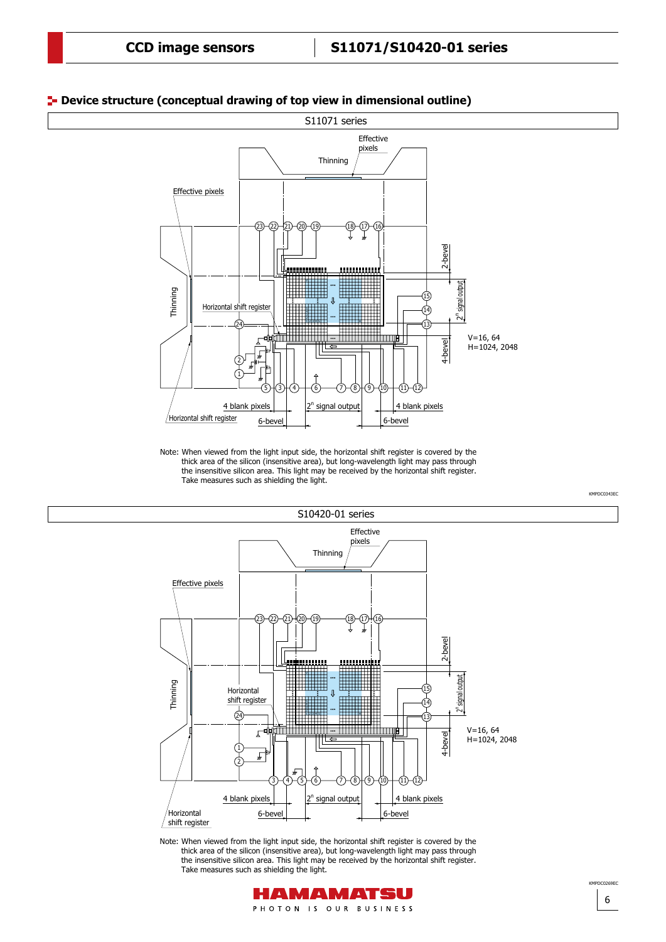

### **Device structure (conceptual drawing of top view in dimensional outline)**

Note: When viewed from the light input side, the horizontal shift register is covered by the thick area of the silicon (insensitive area), but long-wavelength light may pass through the insensitive silicon area. This light may be received by the horizontal shift register. Take measures such as shielding the light.



Note: When viewed from the light input side, the horizontal shift register is covered by the thick area of the silicon (insensitive area), but long-wavelength light may pass through the insensitive silicon area. This light may be received by the horizontal shift register. Take measures such as shielding the light.



6

KMPDC0269EC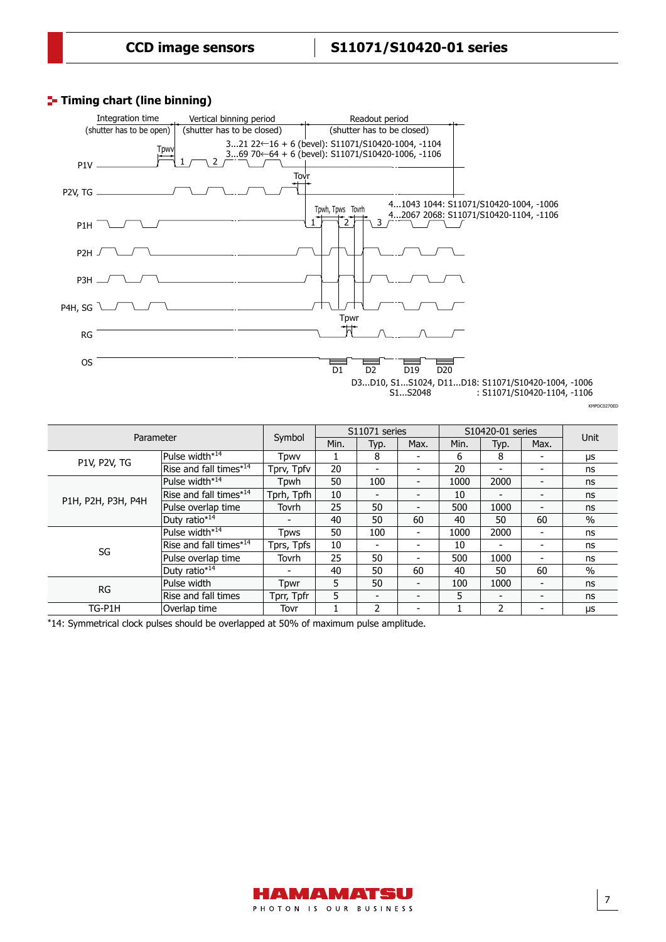# **Timing chart (line binning)**



: S11071/S10420-1104, -1106

KMPDC0270ED

| Parameter           |                                    |             | S11071 series |                          | S10420-01 series         |      |                          |                          |           |
|---------------------|------------------------------------|-------------|---------------|--------------------------|--------------------------|------|--------------------------|--------------------------|-----------|
|                     |                                    | Symbol      | Min.          | Typ.                     | Max.                     | Min. | Typ.                     | Max.                     | Unit      |
|                     | Pulse width*14                     | Tpwv        |               | 8                        | $\overline{\phantom{0}}$ | 6    | 8                        |                          | μs        |
| <b>P1V, P2V, TG</b> | Rise and fall times* <sup>14</sup> | Tprv, Tpfv  | 20            | $\overline{\phantom{0}}$ | $\overline{\phantom{0}}$ | 20   | -                        |                          | ns        |
|                     | Pulse width*14                     | Tpwh        | 50            | 100                      | $\overline{\phantom{a}}$ | 1000 | 2000                     | $\,$                     | ns        |
| P1H, P2H, P3H, P4H  | Rise and fall times*14             | Tprh, Tpfh  | 10            | -                        | $\overline{\phantom{0}}$ | 10   | ۰                        | $\blacksquare$           | ns        |
|                     | Pulse overlap time                 | Tovrh       | 25            | 50                       | $\overline{\phantom{0}}$ | 500  | 1000                     | $\overline{\phantom{0}}$ | ns        |
|                     | Duty ratio*14                      |             | 40            | 50                       | 60                       | 40   | 50                       | 60                       | $\%$      |
|                     | Pulse width*14                     | <b>Tpws</b> | 50            | 100                      | $\overline{\phantom{a}}$ | 1000 | 2000                     | $\blacksquare$           | ns        |
| SG                  | Rise and fall times* <sup>14</sup> | Tprs, Tpfs  | 10            | $\blacksquare$           | $\overline{\phantom{0}}$ | 10   | $\overline{\phantom{a}}$ |                          | ns        |
|                     | Pulse overlap time                 | Tovrh       | 25            | 50                       | $\overline{\phantom{0}}$ | 500  | 1000                     | $\blacksquare$           | ns        |
|                     | Duty ratio*14                      |             | 40            | 50                       | 60                       | 40   | 50                       | 60                       | $\%$      |
| <b>RG</b>           | Pulse width                        | Tpwr        | 5.            | 50                       | $\overline{\phantom{0}}$ | 100  | 1000                     | $\blacksquare$           | ns        |
|                     | Rise and fall times                | Tprr, Tpfr  | 5             | -                        | $\overline{\phantom{0}}$ | 5    | $\overline{\phantom{0}}$ | $\blacksquare$           | ns        |
| TG-P1H              | Overlap time                       | Tovr        |               | 2                        | $\overline{\phantom{0}}$ |      | $\overline{2}$           |                          | <b>US</b> |

\*14: Symmetrical clock pulses should be overlapped at 50% of maximum pulse amplitude.

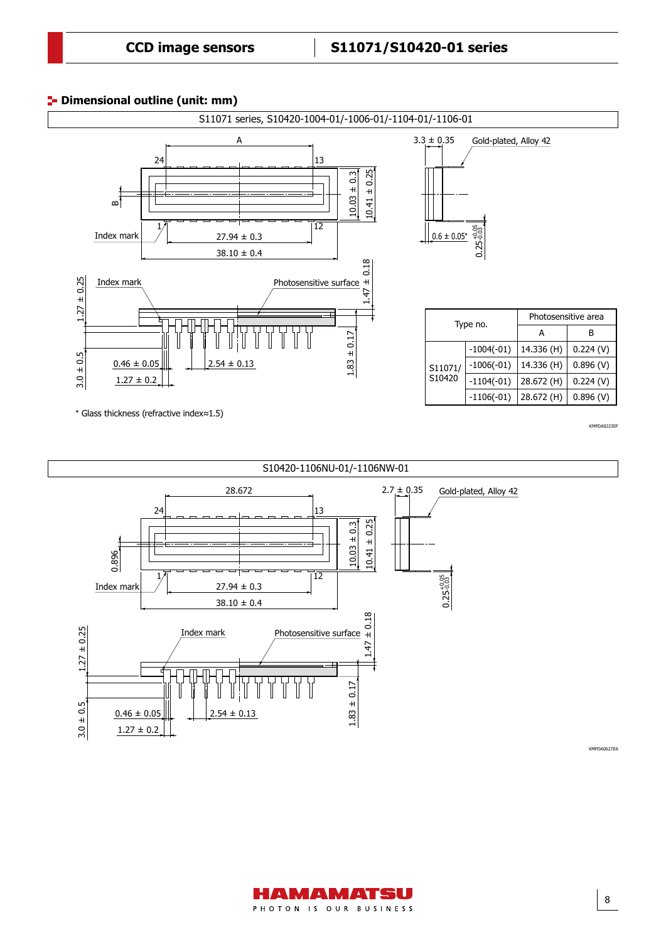# **Dimensional outline (unit: mm)**





HAMAMATSU PHOTON IS OUR BUSINESS

8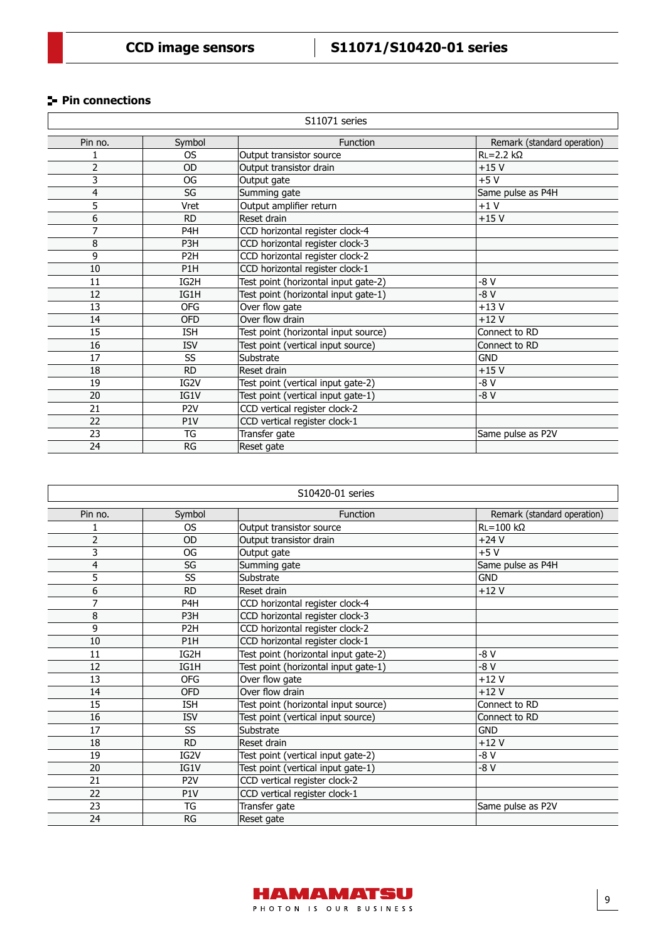# **Pin connections**

|                         | S11071 series    |                                      |                             |  |  |  |  |
|-------------------------|------------------|--------------------------------------|-----------------------------|--|--|--|--|
| Pin no.                 | Symbol           | Function                             | Remark (standard operation) |  |  |  |  |
|                         | <b>OS</b>        | Output transistor source             | $RL = 2.2 k\Omega$          |  |  |  |  |
| 2                       | OD               | Output transistor drain              | $+15V$                      |  |  |  |  |
| 3                       | OG               | Output gate                          | $+5V$                       |  |  |  |  |
| $\overline{\mathbf{4}}$ | SG               | Summing gate                         | Same pulse as P4H           |  |  |  |  |
| 5                       | Vret             | Output amplifier return              | $+1V$                       |  |  |  |  |
| 6                       | <b>RD</b>        | Reset drain                          | $+15V$                      |  |  |  |  |
| 7                       | P <sub>4</sub> H | CCD horizontal register clock-4      |                             |  |  |  |  |
| 8                       | P <sub>3</sub> H | CCD horizontal register clock-3      |                             |  |  |  |  |
| 9                       | P <sub>2</sub> H | CCD horizontal register clock-2      |                             |  |  |  |  |
| 10                      | P <sub>1</sub> H | CCD horizontal register clock-1      |                             |  |  |  |  |
| 11                      | IG2H             | Test point (horizontal input gate-2) | -8 V                        |  |  |  |  |
| 12                      | IG1H             | Test point (horizontal input gate-1) | $-8V$                       |  |  |  |  |
| 13                      | <b>OFG</b>       | Over flow gate                       | $+13V$                      |  |  |  |  |
| 14                      | <b>OFD</b>       | Over flow drain                      | $+12V$                      |  |  |  |  |
| 15                      | <b>ISH</b>       | Test point (horizontal input source) | Connect to RD               |  |  |  |  |
| 16                      | <b>ISV</b>       | Test point (vertical input source)   | Connect to RD               |  |  |  |  |
| 17                      | SS               | Substrate                            | <b>GND</b>                  |  |  |  |  |
| 18                      | <b>RD</b>        | Reset drain                          | $+15V$                      |  |  |  |  |
| 19                      | IG2V             | Test point (vertical input gate-2)   | -8 V                        |  |  |  |  |
| 20                      | IG1V             | Test point (vertical input gate-1)   | -8 V                        |  |  |  |  |
| 21                      | P <sub>2V</sub>  | CCD vertical register clock-2        |                             |  |  |  |  |
| 22                      | P <sub>1</sub> V | CCD vertical register clock-1        |                             |  |  |  |  |
| 23                      | TG               | Transfer gate                        | Same pulse as P2V           |  |  |  |  |
| 24                      | RG               | Reset gate                           |                             |  |  |  |  |

| S10420-01 series |                  |                                      |                             |  |  |  |
|------------------|------------------|--------------------------------------|-----------------------------|--|--|--|
| Pin no.          | Symbol           | <b>Function</b>                      | Remark (standard operation) |  |  |  |
| 1                | <b>OS</b>        | Output transistor source             | $RL = 100$ kΩ               |  |  |  |
| $\overline{2}$   | <b>OD</b>        | Output transistor drain              | $+24V$                      |  |  |  |
| 3                | OG               | Output gate                          | $+5V$                       |  |  |  |
| 4                | SG               | Summing gate                         | Same pulse as P4H           |  |  |  |
| 5                | SS               | Substrate                            | <b>GND</b>                  |  |  |  |
| 6                | <b>RD</b>        | Reset drain                          | $+12V$                      |  |  |  |
| 7                | P <sub>4</sub> H | CCD horizontal register clock-4      |                             |  |  |  |
| 8                | P <sub>3</sub> H | CCD horizontal register clock-3      |                             |  |  |  |
| 9                | P <sub>2</sub> H | CCD horizontal register clock-2      |                             |  |  |  |
| 10               | P <sub>1</sub> H | CCD horizontal register clock-1      |                             |  |  |  |
| 11               | IG2H             | Test point (horizontal input gate-2) | -8 V                        |  |  |  |
| 12               | IG1H             | Test point (horizontal input gate-1) | -8 V                        |  |  |  |
| 13               | OFG              | Over flow gate                       | $+12V$                      |  |  |  |
| 14               | <b>OFD</b>       | Over flow drain                      | $+12V$                      |  |  |  |
| 15               | <b>ISH</b>       | Test point (horizontal input source) | Connect to RD               |  |  |  |
| 16               | <b>ISV</b>       | Test point (vertical input source)   | Connect to RD               |  |  |  |
| 17               | SS               | Substrate                            | <b>GND</b>                  |  |  |  |
| 18               | <b>RD</b>        | Reset drain                          | $+12V$                      |  |  |  |
| 19               | IG2V             | Test point (vertical input gate-2)   | -8 V                        |  |  |  |
| 20               | IG1V             | Test point (vertical input gate-1)   | -8 V                        |  |  |  |
| 21               | P <sub>2V</sub>  | CCD vertical register clock-2        |                             |  |  |  |
| 22               | P <sub>1</sub> V | CCD vertical register clock-1        |                             |  |  |  |
| 23               | TG               | Transfer gate                        | Same pulse as P2V           |  |  |  |
| 24               | RG               | Reset gate                           |                             |  |  |  |

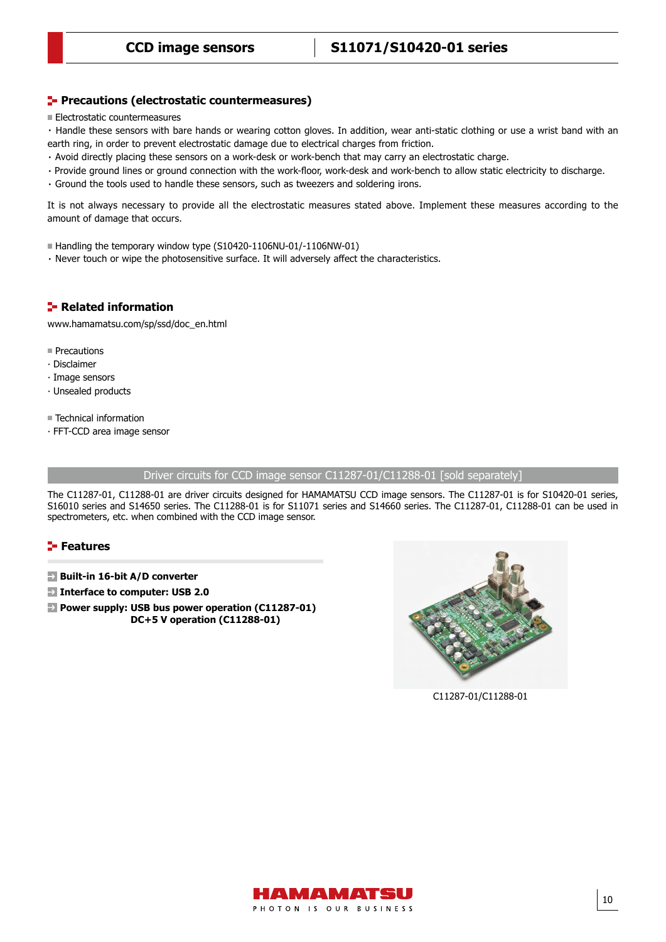# **CCD image sensors S11071/S10420-01 series**

## **Precautions (electrostatic countermeasures)**

**Electrostatic countermeasures** 

・Handle these sensors with bare hands or wearing cotton gloves. In addition, wear anti-static clothing or use a wrist band with an earth ring, in order to prevent electrostatic damage due to electrical charges from friction.

- ・Avoid directly placing these sensors on a work-desk or work-bench that may carry an electrostatic charge.
- ・Provide ground lines or ground connection with the work-floor, work-desk and work-bench to allow static electricity to discharge.
- ・Ground the tools used to handle these sensors, such as tweezers and soldering irons.

It is not always necessary to provide all the electrostatic measures stated above. Implement these measures according to the amount of damage that occurs.

■ Handling the temporary window type (S10420-1106NU-01/-1106NW-01)

・ Never touch or wipe the photosensitive surface. It will adversely affect the characteristics.

# **Related information**

[www.hamamatsu.com/sp/ssd/doc\\_en.html](https://www.hamamatsu.com/sp/ssd/doc_en.html)

- **Precautions**
- ∙ Disclaimer
- ∙ Image sensors
- ∙ Unsealed products
- Technical information
- ∙ FFT-CCD area image sensor

Driver circuits for CCD image sensor C11287-01/C11288-01 [sold separately]

The C11287-01, C11288-01 are driver circuits designed for HAMAMATSU CCD image sensors. The C11287-01 is for S10420-01 series, S16010 series and S14650 series. The C11288-01 is for S11071 series and S14660 series. The C11287-01, C11288-01 can be used in spectrometers, etc. when combined with the CCD image sensor.

# **Features**

- **Built-in 16-bit A/D converter**
- **Interface to computer: USB 2.0**
- **Power supply: USB bus power operation (C11287-01) DC+5 V operation (C11288-01)**



C11287-01/C11288-01